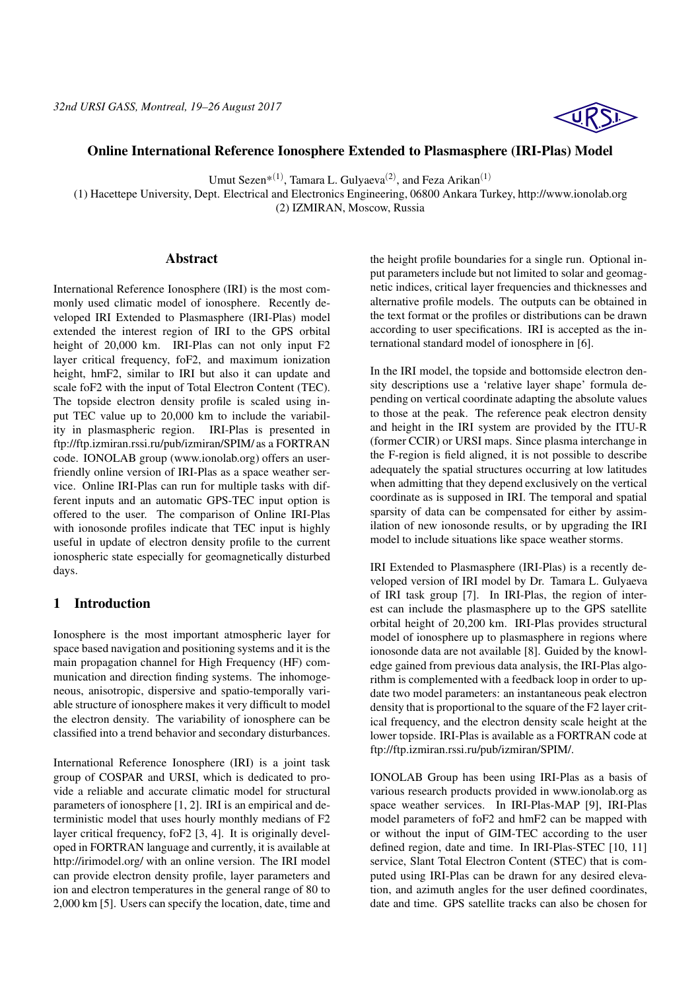## **Online International Reference Ionosphere Extended to Plasmasphere (IRI-Plas) Model**

Umut Sezen $^{*(1)}$ , Tamara L. Gulyaeva<sup>(2)</sup>, and Feza Arikan<sup>(1)</sup>

(1) Hacettepe University, Dept. Electrical and Electronics Engineering, 06800 Ankara Turkey, http://www.ionolab.org (2) IZMIRAN, Moscow, Russia

#### **Abstract**

International Reference Ionosphere (IRI) is the most commonly used climatic model of ionosphere. Recently developed IRI Extended to Plasmasphere (IRI-Plas) model extended the interest region of IRI to the GPS orbital height of 20,000 km. IRI-Plas can not only input F2 layer critical frequency, foF2, and maximum ionization height, hmF2, similar to IRI but also it can update and scale foF2 with the input of Total Electron Content (TEC). The topside electron density profile is scaled using input TEC value up to 20,000 km to include the variability in plasmaspheric region. IRI-Plas is presented in ftp://ftp.izmiran.rssi.ru/pub/izmiran/SPIM/ as a FORTRAN code. IONOLAB group (www.ionolab.org) offers an userfriendly online version of IRI-Plas as a space weather service. Online IRI-Plas can run for multiple tasks with different inputs and an automatic GPS-TEC input option is offered to the user. The comparison of Online IRI-Plas with ionosonde profiles indicate that TEC input is highly useful in update of electron density profile to the current ionospheric state especially for geomagnetically disturbed days.

## **1 Introduction**

Ionosphere is the most important atmospheric layer for space based navigation and positioning systems and it is the main propagation channel for High Frequency (HF) communication and direction finding systems. The inhomogeneous, anisotropic, dispersive and spatio-temporally variable structure of ionosphere makes it very difficult to model the electron density. The variability of ionosphere can be classified into a trend behavior and secondary disturbances.

International Reference Ionosphere (IRI) is a joint task group of COSPAR and URSI, which is dedicated to provide a reliable and accurate climatic model for structural parameters of ionosphere [1, 2]. IRI is an empirical and deterministic model that uses hourly monthly medians of F2 layer critical frequency, foF2 [3, 4]. It is originally developed in FORTRAN language and currently, it is available at http://irimodel.org/ with an online version. The IRI model can provide electron density profile, layer parameters and ion and electron temperatures in the general range of 80 to 2,000 km [5]. Users can specify the location, date, time and the height profile boundaries for a single run. Optional input parameters include but not limited to solar and geomagnetic indices, critical layer frequencies and thicknesses and alternative profile models. The outputs can be obtained in the text format or the profiles or distributions can be drawn according to user specifications. IRI is accepted as the international standard model of ionosphere in [6].

In the IRI model, the topside and bottomside electron density descriptions use a 'relative layer shape' formula depending on vertical coordinate adapting the absolute values to those at the peak. The reference peak electron density and height in the IRI system are provided by the ITU-R (former CCIR) or URSI maps. Since plasma interchange in the F-region is field aligned, it is not possible to describe adequately the spatial structures occurring at low latitudes when admitting that they depend exclusively on the vertical coordinate as is supposed in IRI. The temporal and spatial sparsity of data can be compensated for either by assimilation of new ionosonde results, or by upgrading the IRI model to include situations like space weather storms.

IRI Extended to Plasmasphere (IRI-Plas) is a recently developed version of IRI model by Dr. Tamara L. Gulyaeva of IRI task group [7]. In IRI-Plas, the region of interest can include the plasmasphere up to the GPS satellite orbital height of 20,200 km. IRI-Plas provides structural model of ionosphere up to plasmasphere in regions where ionosonde data are not available [8]. Guided by the knowledge gained from previous data analysis, the IRI-Plas algorithm is complemented with a feedback loop in order to update two model parameters: an instantaneous peak electron density that is proportional to the square of the F2 layer critical frequency, and the electron density scale height at the lower topside. IRI-Plas is available as a FORTRAN code at ftp://ftp.izmiran.rssi.ru/pub/izmiran/SPIM/.

IONOLAB Group has been using IRI-Plas as a basis of various research products provided in www.ionolab.org as space weather services. In IRI-Plas-MAP [9], IRI-Plas model parameters of foF2 and hmF2 can be mapped with or without the input of GIM-TEC according to the user defined region, date and time. In IRI-Plas-STEC [10, 11] service, Slant Total Electron Content (STEC) that is computed using IRI-Plas can be drawn for any desired elevation, and azimuth angles for the user defined coordinates, date and time. GPS satellite tracks can also be chosen for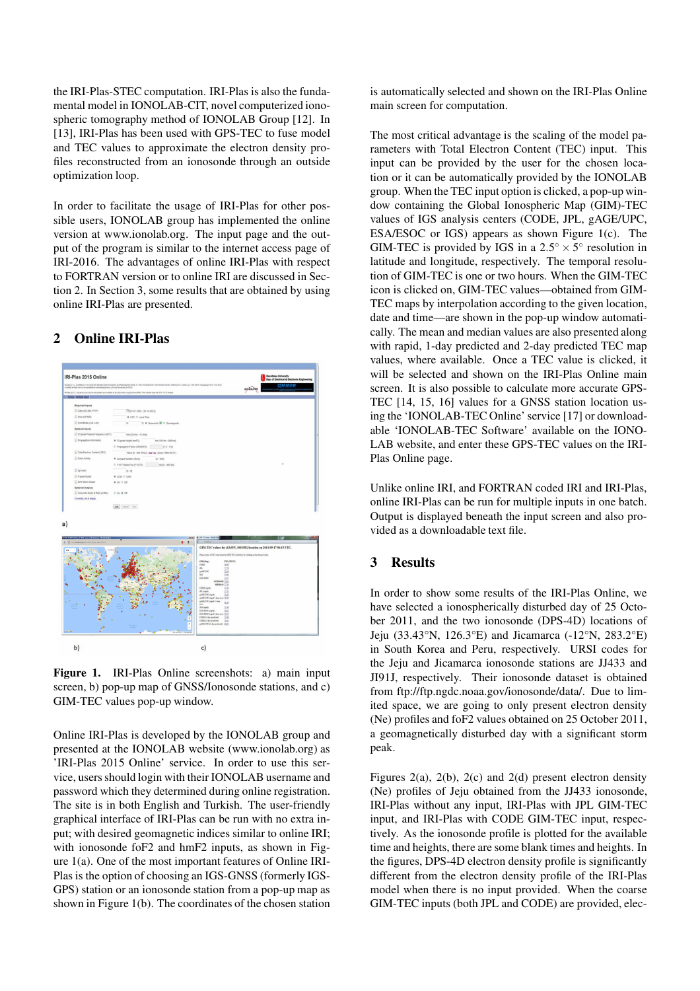the IRI-Plas-STEC computation. IRI-Plas is also the fundamental model in IONOLAB-CIT, novel computerized ionospheric tomography method of IONOLAB Group [12]. In [13], IRI-Plas has been used with GPS-TEC to fuse model and TEC values to approximate the electron density profiles reconstructed from an ionosonde through an outside optimization loop.

In order to facilitate the usage of IRI-Plas for other possible users, IONOLAB group has implemented the online version at www.ionolab.org. The input page and the output of the program is similar to the internet access page of IRI-2016. The advantages of online IRI-Plas with respect to FORTRAN version or to online IRI are discussed in Section 2. In Section 3, some results that are obtained by using online IRI-Plas are presented.

## **2 Online IRI-Plas**



**Figure 1.** IRI-Plas Online screenshots: a) main input screen, b) pop-up map of GNSS/Ionosonde stations, and c) GIM-TEC values pop-up window.

Online IRI-Plas is developed by the IONOLAB group and presented at the IONOLAB website (www.ionolab.org) as 'IRI-Plas 2015 Online' service. In order to use this service, users should login with their IONOLAB username and password which they determined during online registration. The site is in both English and Turkish. The user-friendly graphical interface of IRI-Plas can be run with no extra input; with desired geomagnetic indices similar to online IRI; with ionosonde foF2 and hmF2 inputs, as shown in Figure 1(a). One of the most important features of Online IRI-Plas is the option of choosing an IGS-GNSS (formerly IGS-GPS) station or an ionosonde station from a pop-up map as shown in Figure 1(b). The coordinates of the chosen station is automatically selected and shown on the IRI-Plas Online main screen for computation.

The most critical advantage is the scaling of the model parameters with Total Electron Content (TEC) input. This input can be provided by the user for the chosen location or it can be automatically provided by the IONOLAB group. When the TEC input option is clicked, a pop-up window containing the Global Ionospheric Map (GIM)-TEC values of IGS analysis centers (CODE, JPL, gAGE/UPC, ESA/ESOC or IGS) appears as shown Figure 1(c). The GIM-TEC is provided by IGS in a 2.5°  $\times$  5° resolution in latitude and longitude, respectively. The temporal resolution of GIM-TEC is one or two hours. When the GIM-TEC icon is clicked on, GIM-TEC values—obtained from GIM-TEC maps by interpolation according to the given location, date and time—are shown in the pop-up window automatically. The mean and median values are also presented along with rapid, 1-day predicted and 2-day predicted TEC map values, where available. Once a TEC value is clicked, it will be selected and shown on the IRI-Plas Online main screen. It is also possible to calculate more accurate GPS-TEC [14, 15, 16] values for a GNSS station location using the 'IONOLAB-TEC Online' service [17] or downloadable 'IONOLAB-TEC Software' available on the IONO-LAB website, and enter these GPS-TEC values on the IRI-Plas Online page.

Unlike online IRI, and FORTRAN coded IRI and IRI-Plas, online IRI-Plas can be run for multiple inputs in one batch. Output is displayed beneath the input screen and also provided as a downloadable text file.

## **3 Results**

In order to show some results of the IRI-Plas Online, we have selected a ionospherically disturbed day of 25 October 2011, and the two ionosonde (DPS-4D) locations of Jeju (33.43°N, 126.3°E) and Jicamarca (-12°N, 283.2°E) in South Korea and Peru, respectively. URSI codes for the Jeju and Jicamarca ionosonde stations are JJ433 and JI91J, respectively. Their ionosonde dataset is obtained from ftp://ftp.ngdc.noaa.gov/ionosonde/data/. Due to limited space, we are going to only present electron density (Ne) profiles and foF2 values obtained on 25 October 2011, a geomagnetically disturbed day with a significant storm peak.

Figures 2(a), 2(b), 2(c) and 2(d) present electron density (Ne) profiles of Jeju obtained from the JJ433 ionosonde, IRI-Plas without any input, IRI-Plas with JPL GIM-TEC input, and IRI-Plas with CODE GIM-TEC input, respectively. As the ionosonde profile is plotted for the available time and heights, there are some blank times and heights. In the figures, DPS-4D electron density profile is significantly different from the electron density profile of the IRI-Plas model when there is no input provided. When the coarse GIM-TEC inputs (both JPL and CODE) are provided, elec-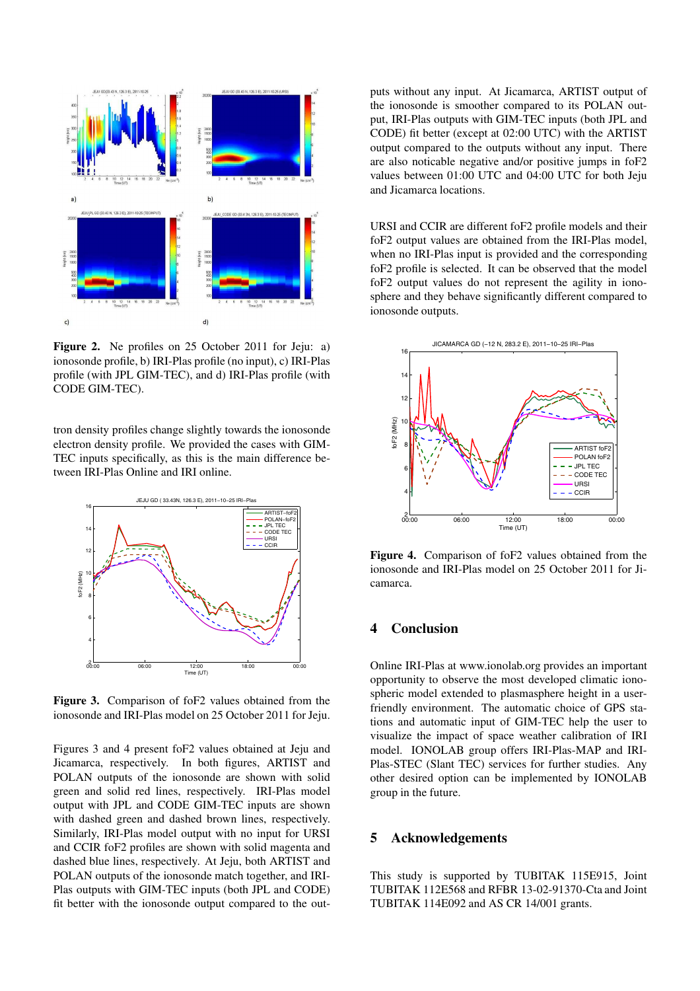

Figure 2. Ne profiles on 25 October 2011 for Jeju: a) ionosonde profile, b) IRI-Plas profile (no input), c) IRI-Plas profile (with JPL GIM-TEC), and d) IRI-Plas profile (with CODE GIM-TEC).

tron density profiles change slightly towards the ionosonde electron density profile. We provided the cases with GIM-TEC inputs specifically, as this is the main difference between IRI-Plas Online and IRI online.



**Figure 3.** Comparison of foF2 values obtained from the ionosonde and IRI-Plas model on 25 October 2011 for Jeju.

Figures 3 and 4 present foF2 values obtained at Jeju and Jicamarca, respectively. In both figures, ARTIST and POLAN outputs of the ionosonde are shown with solid green and solid red lines, respectively. IRI-Plas model output with JPL and CODE GIM-TEC inputs are shown with dashed green and dashed brown lines, respectively. Similarly, IRI-Plas model output with no input for URSI and CCIR foF2 profiles are shown with solid magenta and dashed blue lines, respectively. At Jeju, both ARTIST and POLAN outputs of the ionosonde match together, and IRI-Plas outputs with GIM-TEC inputs (both JPL and CODE) fit better with the ionosonde output compared to the out-

puts without any input. At Jicamarca, ARTIST output of the ionosonde is smoother compared to its POLAN output, IRI-Plas outputs with GIM-TEC inputs (both JPL and CODE) fit better (except at 02:00 UTC) with the ARTIST output compared to the outputs without any input. There are also noticable negative and/or positive jumps in foF2 values between 01:00 UTC and 04:00 UTC for both Jeju and Jicamarca locations.

URSI and CCIR are different foF2 profile models and their foF2 output values are obtained from the IRI-Plas model, when no IRI-Plas input is provided and the corresponding foF2 profile is selected. It can be observed that the model foF2 output values do not represent the agility in ionosphere and they behave significantly different compared to ionosonde outputs.



**Figure 4.** Comparison of foF2 values obtained from the ionosonde and IRI-Plas model on 25 October 2011 for Jicamarca.

# **4 Conclusion**

Online IRI-Plas at www.ionolab.org provides an important opportunity to observe the most developed climatic ionospheric model extended to plasmasphere height in a userfriendly environment. The automatic choice of GPS stations and automatic input of GIM-TEC help the user to visualize the impact of space weather calibration of IRI model. IONOLAB group offers IRI-Plas-MAP and IRI-Plas-STEC (Slant TEC) services for further studies. Any other desired option can be implemented by IONOLAB group in the future.

#### **5 Acknowledgements**

This study is supported by TUBITAK 115E915, Joint TUBITAK 112E568 and RFBR 13-02-91370-Cta and Joint TUBITAK 114E092 and AS CR 14/001 grants.